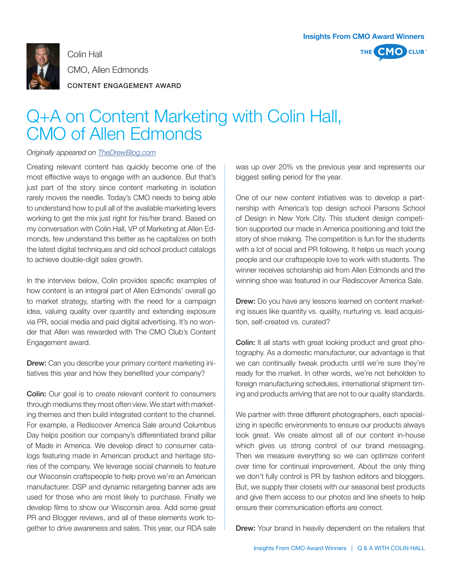

Colin Hall CMO, Allen Edmonds

CONTENT ENGAGEMENT AWARD

## Q+A on Content Marketing with Colin Hall, CMO of Allen Edmonds

## *Originally appeared on TheDrewBlog.com*

Creating relevant content has quickly become one of the most effective ways to engage with an audience. But that's just part of the story since content marketing in isolation rarely moves the needle. Today's CMO needs to being able to understand how to pull all of the available marketing levers working to get the mix just right for his/her brand. Based on my conversation with Colin Hall, VP of Marketing at Allen Edmonds, few understand this better as he capitalizes on both the latest digital techniques and old school product catalogs to achieve double-digit sales growth.

In the interview below, Colin provides specific examples of how content is an integral part of Allen Edmonds' overall go to market strategy, starting with the need for a campaign idea, valuing quality over quantity and extending exposure via PR, social media and paid digital advertising. It's no wonder that Allen was rewarded with The CMO Club's Content Engagement award.

Drew: Can you describe your primary content marketing initiatives this year and how they benefited your company?

**Colin:** Our goal is to create relevant content to consumers through mediums they most often view. We start with marketing themes and then build integrated content to the channel. For example, a Rediscover America Sale around Columbus Day helps position our company's differentiated brand pillar of Made in America. We develop direct to consumer catalogs featuring made in American product and heritage stories of the company. We leverage social channels to feature our Wisconsin craftspeople to help prove we're an American manufacturer. DSP and dynamic retargeting banner ads are used for those who are most likely to purchase. Finally we develop films to show our Wisconsin area. Add some great PR and Blogger reviews, and all of these elements work together to drive awareness and sales. This year, our RDA sale was up over 20% vs the previous year and represents our biggest selling period for the year.

One of our new content initiatives was to develop a partnership with America's top design school Parsons School of Design in New York City. This student design competition supported our made in America positioning and told the story of shoe making. The competition is fun for the students with a lot of social and PR following. It helps us reach young people and our craftspeople love to work with students. The winner receives scholarship aid from Allen Edmonds and the winning shoe was featured in our Rediscover America Sale.

Drew: Do you have any lessons learned on content marketing issues like quantity vs. quality, nurturing vs. lead acquisition, self-created vs. curated?

**Colin:** It all starts with great looking product and great photography. As a domestic manufacturer, our advantage is that we can continually tweak products until we're sure they're ready for the market. In other words, we're not beholden to foreign manufacturing schedules, international shipment timing and products arriving that are not to our quality standards.

We partner with three different photographers, each specializing in specific environments to ensure our products always look great. We create almost all of our content in-house which gives us strong control of our brand messaging. Then we measure everything so we can optimize content over time for continual improvement. About the only thing we don't fully control is PR by fashion editors and bloggers. But, we supply their closets with our seasonal best products and give them access to our photos and line sheets to help ensure their communication efforts are correct.

**Drew:** Your brand in heavily dependent on the retailers that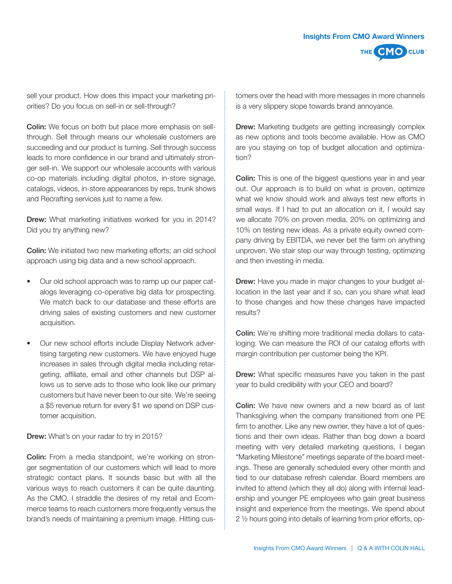

sell your product. How does this impact your marketing priorities? Do you focus on sell-in or sell-through?

**Colin:** We focus on both but place more emphasis on sellthrough. Sell through means our wholesale customers are succeeding and our product is turning. Sell through success leads to more confidence in our brand and ultimately stronger sell-in. We support our wholesale accounts with various co-op materials including digital photos, in-store signage, catalogs, videos, in-store appearances by reps, trunk shows and Recrafting services just to name a few.

**Drew:** What marketing initiatives worked for you in 2014? Did you try anything new?

Colin: We initiated two new marketing efforts; an old school approach using big data and a new school approach.

- Our old school approach was to ramp up our paper catalogs leveraging co-operative big data for prospecting. We match back to our database and these efforts are driving sales of existing customers and new customer acquisition.
- Our new school efforts include Display Network advertising targeting new customers. We have enjoyed huge increases in sales through digital media including retargeting, affiliate, email and other channels but DSP allows us to serve ads to those who look like our primary customers but have never been to our site. We're seeing a \$5 revenue return for every \$1 we spend on DSP customer acquisition.

Drew: What's on your radar to try in 2015?

**Colin:** From a media standpoint, we're working on stronger segmentation of our customers which will lead to more strategic contact plans. It sounds basic but with all the various ways to reach customers it can be quite daunting. As the CMO, I straddle the desires of my retail and Ecommerce teams to reach customers more frequently versus the brand's needs of maintaining a premium image. Hitting customers over the head with more messages in more channels is a very slippery slope towards brand annoyance.

**Drew:** Marketing budgets are getting increasingly complex as new options and tools become available. How as CMO are you staying on top of budget allocation and optimization?

Colin: This is one of the biggest questions year in and year out. Our approach is to build on what is proven, optimize what we know should work and always test new efforts in small ways. If I had to put an allocation on it, I would say we allocate 70% on proven media, 20% on optimizing and 10% on testing new ideas. As a private equity owned company driving by EBITDA, we never bet the farm on anything unproven. We stair step our way through testing, optimizing and then investing in media.

**Drew:** Have you made in major changes to your budget allocation in the last year and if so, can you share what lead to those changes and how these changes have impacted results?

Colin: We're shifting more traditional media dollars to cataloging. We can measure the ROI of our catalog efforts with margin contribution per customer being the KPI.

**Drew:** What specific measures have you taken in the past year to build credibility with your CEO and board?

Colin: We have new owners and a new board as of last Thanksgiving when the company transitioned from one PE firm to another. Like any new owner, they have a lot of questions and their own ideas. Rather than bog down a board meeting with very detailed marketing questions, I began "Marketing Milestone" meetings separate of the board meetings. These are generally scheduled every other month and tied to our database refresh calendar. Board members are invited to attend (which they all do) along with internal leadership and younger PE employees who gain great business insight and experience from the meetings. We spend about 2 ½ hours going into details of learning from prior efforts, op-